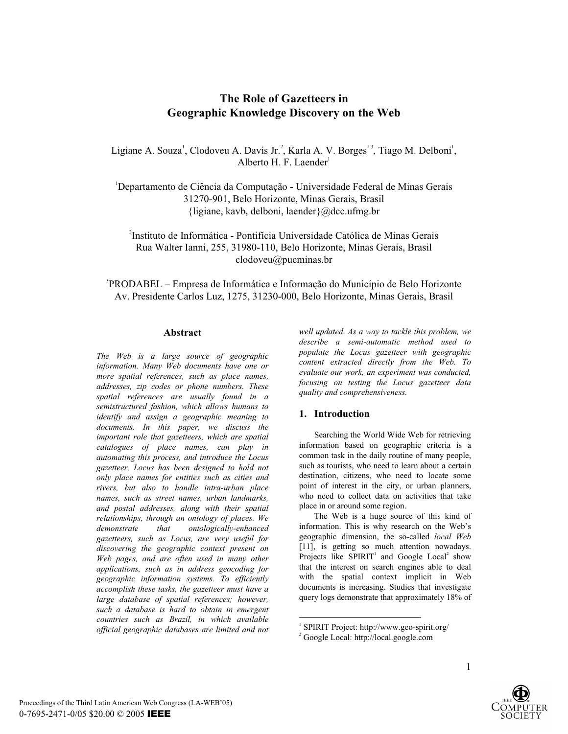# **The Role of Gazetteers in Geographic Knowledge Discovery on the Web**

Ligiane A. Souza<sup>1</sup>, Clodoveu A. Davis Jr.<sup>2</sup>, Karla A. V. Borges<sup>1,3</sup>, Tiago M. Delboni<sup>1</sup>, Alberto H. F. Laender $1$ 

1 Departamento de Ciência da Computação - Universidade Federal de Minas Gerais 31270-901, Belo Horizonte, Minas Gerais, Brasil {ligiane, kavb, delboni, laender}@dcc.ufmg.br

2 Instituto de Informática - Pontifícia Universidade Católica de Minas Gerais Rua Walter Ianni, 255, 31980-110, Belo Horizonte, Minas Gerais, Brasil clodoveu@pucminas.br

3 PRODABEL – Empresa de Informática e Informação do Município de Belo Horizonte Av. Presidente Carlos Luz, 1275, 31230-000, Belo Horizonte, Minas Gerais, Brasil

## **Abstract**

*The Web is a large source of geographic information. Many Web documents have one or more spatial references, such as place names, addresses, zip codes or phone numbers. These spatial references are usually found in a semistructured fashion, which allows humans to identify and assign a geographic meaning to documents. In this paper, we discuss the important role that gazetteers, which are spatial catalogues of place names, can play in automating this process, and introduce the Locus gazetteer. Locus has been designed to hold not only place names for entities such as cities and rivers, but also to handle intra-urban place names, such as street names, urban landmarks, and postal addresses, along with their spatial relationships, through an ontology of places. We demonstrate that ontologically-enhanced gazetteers, such as Locus, are very useful for discovering the geographic context present on Web pages, and are often used in many other applications, such as in address geocoding for geographic information systems. To efficiently accomplish these tasks, the gazetteer must have a large database of spatial references; however, such a database is hard to obtain in emergent countries such as Brazil, in which available official geographic databases are limited and not* 

*well updated. As a way to tackle this problem, we describe a semi-automatic method used to populate the Locus gazetteer with geographic content extracted directly from the Web. To evaluate our work, an experiment was conducted, focusing on testing the Locus gazetteer data quality and comprehensiveness.*

## **1. Introduction**

Searching the World Wide Web for retrieving information based on geographic criteria is a common task in the daily routine of many people, such as tourists, who need to learn about a certain destination, citizens, who need to locate some point of interest in the city, or urban planners, who need to collect data on activities that take place in or around some region.

The Web is a huge source of this kind of information. This is why research on the Web's geographic dimension, the so-called *local Web* [11], is getting so much attention nowadays. Projects like  $SPIRIT<sup>1</sup>$  and Google Local<sup>2</sup> show that the interest on search engines able to deal with the spatial context implicit in Web documents is increasing. Studies that investigate query logs demonstrate that approximately 18% of

1

<sup>1</sup> SPIRIT Project: http://www.geo-spirit.org/

<sup>2</sup> Google Local: http://local.google.com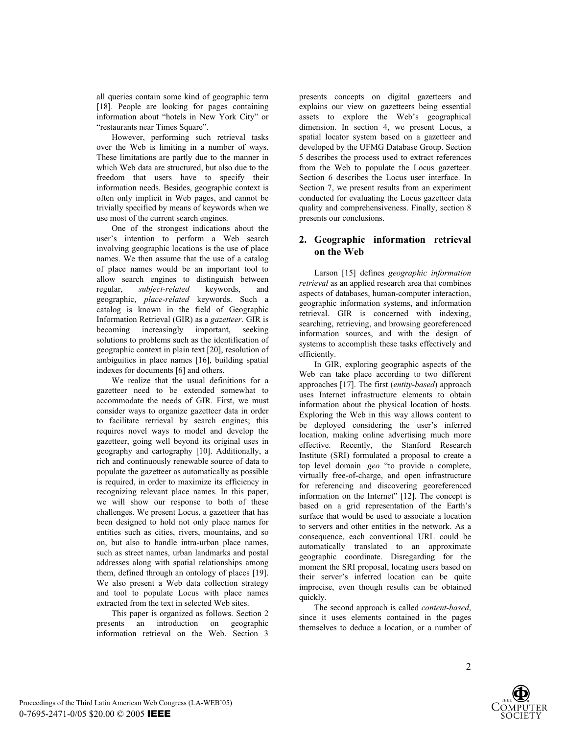all queries contain some kind of geographic term [18]. People are looking for pages containing information about "hotels in New York City" or "restaurants near Times Square".

However, performing such retrieval tasks over the Web is limiting in a number of ways. These limitations are partly due to the manner in which Web data are structured, but also due to the freedom that users have to specify their information needs. Besides, geographic context is often only implicit in Web pages, and cannot be trivially specified by means of keywords when we use most of the current search engines.

One of the strongest indications about the user's intention to perform a Web search involving geographic locations is the use of place names. We then assume that the use of a catalog of place names would be an important tool to allow search engines to distinguish between regular, *subject-related* keywords, and geographic, *place-related* keywords. Such a catalog is known in the field of Geographic Information Retrieval (GIR) as a *gazetteer*. GIR is becoming increasingly important, seeking solutions to problems such as the identification of geographic context in plain text [20], resolution of ambiguities in place names [16], building spatial indexes for documents [6] and others.

We realize that the usual definitions for a gazetteer need to be extended somewhat to accommodate the needs of GIR. First, we must consider ways to organize gazetteer data in order to facilitate retrieval by search engines; this requires novel ways to model and develop the gazetteer, going well beyond its original uses in geography and cartography [10]. Additionally, a rich and continuously renewable source of data to populate the gazetteer as automatically as possible is required, in order to maximize its efficiency in recognizing relevant place names. In this paper, we will show our response to both of these challenges. We present Locus, a gazetteer that has been designed to hold not only place names for entities such as cities, rivers, mountains, and so on, but also to handle intra-urban place names, such as street names, urban landmarks and postal addresses along with spatial relationships among them, defined through an ontology of places [19]. We also present a Web data collection strategy and tool to populate Locus with place names extracted from the text in selected Web sites.

This paper is organized as follows. Section 2 presents an introduction on geographic information retrieval on the Web. Section 3

presents concepts on digital gazetteers and explains our view on gazetteers being essential assets to explore the Web's geographical dimension. In section 4, we present Locus, a spatial locator system based on a gazetteer and developed by the UFMG Database Group. Section 5 describes the process used to extract references from the Web to populate the Locus gazetteer. Section 6 describes the Locus user interface. In Section 7, we present results from an experiment conducted for evaluating the Locus gazetteer data quality and comprehensiveness. Finally, section 8 presents our conclusions.

## **2. Geographic information retrieval on the Web**

Larson [15] defines *geographic information retrieval* as an applied research area that combines aspects of databases, human-computer interaction, geographic information systems, and information retrieval. GIR is concerned with indexing, searching, retrieving, and browsing georeferenced information sources, and with the design of systems to accomplish these tasks effectively and efficiently.

In GIR, exploring geographic aspects of the Web can take place according to two different approaches [17]. The first (*entity-based*) approach uses Internet infrastructure elements to obtain information about the physical location of hosts. Exploring the Web in this way allows content to be deployed considering the user's inferred location, making online advertising much more effective. Recently, the Stanford Research Institute (SRI) formulated a proposal to create a top level domain *.geo* "to provide a complete, virtually free-of-charge, and open infrastructure for referencing and discovering georeferenced information on the Internet" [12]. The concept is based on a grid representation of the Earth's surface that would be used to associate a location to servers and other entities in the network. As a consequence, each conventional URL could be automatically translated to an approximate geographic coordinate. Disregarding for the moment the SRI proposal, locating users based on their server's inferred location can be quite imprecise, even though results can be obtained quickly.

The second approach is called *content-based*, since it uses elements contained in the pages themselves to deduce a location, or a number of

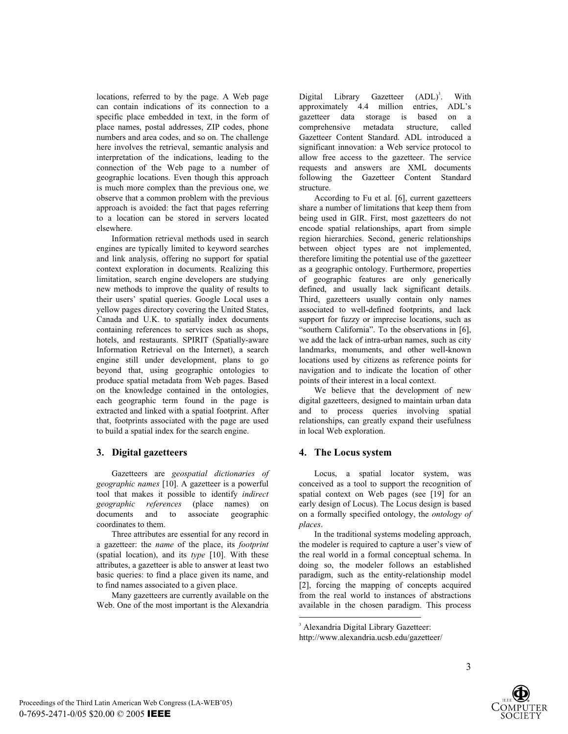locations, referred to by the page. A Web page can contain indications of its connection to a specific place embedded in text, in the form of place names, postal addresses, ZIP codes, phone numbers and area codes, and so on. The challenge here involves the retrieval, semantic analysis and interpretation of the indications, leading to the connection of the Web page to a number of geographic locations. Even though this approach is much more complex than the previous one, we observe that a common problem with the previous approach is avoided: the fact that pages referring to a location can be stored in servers located elsewhere.

Information retrieval methods used in search engines are typically limited to keyword searches and link analysis, offering no support for spatial context exploration in documents. Realizing this limitation, search engine developers are studying new methods to improve the quality of results to their users' spatial queries. Google Local uses a yellow pages directory covering the United States, Canada and U.K. to spatially index documents containing references to services such as shops, hotels, and restaurants. SPIRIT (Spatially-aware Information Retrieval on the Internet), a search engine still under development, plans to go beyond that, using geographic ontologies to produce spatial metadata from Web pages. Based on the knowledge contained in the ontologies, each geographic term found in the page is extracted and linked with a spatial footprint. After that, footprints associated with the page are used to build a spatial index for the search engine.

## **3. Digital gazetteers**

Gazetteers are *geospatial dictionaries of geographic names* [10]. A gazetteer is a powerful tool that makes it possible to identify *indirect geographic references* (place names) on documents and to associate geographic coordinates to them.

Three attributes are essential for any record in a gazetteer: the *name* of the place, its *footprint* (spatial location), and its *type* [10]. With these attributes, a gazetteer is able to answer at least two basic queries: to find a place given its name, and to find names associated to a given place.

Many gazetteers are currently available on the Web. One of the most important is the Alexandria Digital Library Gazetteer  $(ADL)^3$ . . With approximately 4.4 million entries, ADL's gazetteer data storage is based on a comprehensive metadata structure, called Gazetteer Content Standard. ADL introduced a significant innovation: a Web service protocol to allow free access to the gazetteer. The service requests and answers are XML documents following the Gazetteer Content Standard structure.

According to Fu et al. [6], current gazetteers share a number of limitations that keep them from being used in GIR. First, most gazetteers do not encode spatial relationships, apart from simple region hierarchies. Second, generic relationships between object types are not implemented, therefore limiting the potential use of the gazetteer as a geographic ontology. Furthermore, properties of geographic features are only generically defined, and usually lack significant details. Third, gazetteers usually contain only names associated to well-defined footprints, and lack support for fuzzy or imprecise locations, such as "southern California". To the observations in [6], we add the lack of intra-urban names, such as city landmarks, monuments, and other well-known locations used by citizens as reference points for navigation and to indicate the location of other points of their interest in a local context.

We believe that the development of new digital gazetteers, designed to maintain urban data and to process queries involving spatial relationships, can greatly expand their usefulness in local Web exploration.

### **4. The Locus system**

Locus, a spatial locator system, was conceived as a tool to support the recognition of spatial context on Web pages (see [19] for an early design of Locus). The Locus design is based on a formally specified ontology, the *ontology of places*.

In the traditional systems modeling approach, the modeler is required to capture a user's view of the real world in a formal conceptual schema. In doing so, the modeler follows an established paradigm, such as the entity-relationship model [2], forcing the mapping of concepts acquired from the real world to instances of abstractions available in the chosen paradigm. This process



<sup>3</sup> Alexandria Digital Library Gazetteer:

http://www.alexandria.ucsb.edu/gazetteer/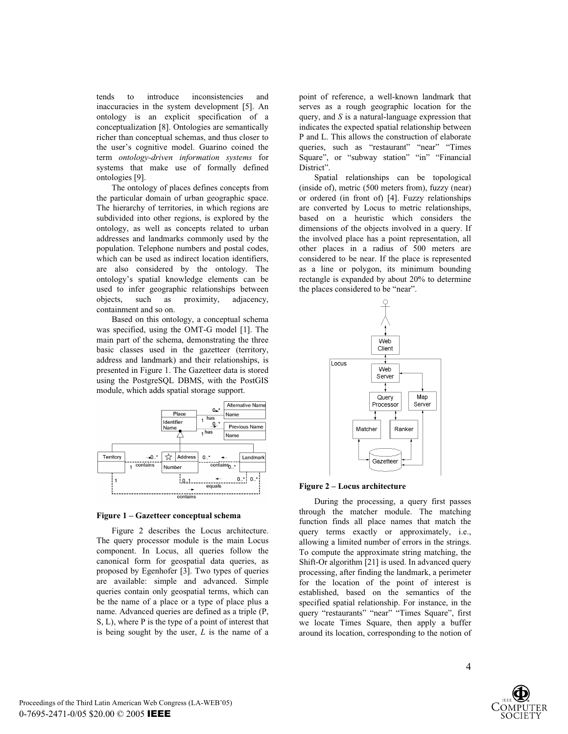tends to introduce inconsistencies and inaccuracies in the system development [5]. An ontology is an explicit specification of a conceptualization [8]. Ontologies are semantically richer than conceptual schemas, and thus closer to the user's cognitive model. Guarino coined the term *ontology-driven information systems* for systems that make use of formally defined ontologies [9].

The ontology of places defines concepts from the particular domain of urban geographic space. The hierarchy of territories, in which regions are subdivided into other regions, is explored by the ontology, as well as concepts related to urban addresses and landmarks commonly used by the population. Telephone numbers and postal codes, which can be used as indirect location identifiers, are also considered by the ontology. The ontology's spatial knowledge elements can be used to infer geographic relationships between objects, such as proximity, adjacency, containment and so on.

Based on this ontology, a conceptual schema was specified, using the OMT-G model [1]. The main part of the schema, demonstrating the three basic classes used in the gazetteer (territory, address and landmark) and their relationships, is presented in Figure 1. The Gazetteer data is stored using the PostgreSQL DBMS, with the PostGIS module, which adds spatial storage support.



#### **Figure 1 – Gazetteer conceptual schema**

Figure 2 describes the Locus architecture. The query processor module is the main Locus component. In Locus, all queries follow the canonical form for geospatial data queries, as proposed by Egenhofer [3]. Two types of queries are available: simple and advanced. Simple queries contain only geospatial terms, which can be the name of a place or a type of place plus a name. Advanced queries are defined as a triple (P, S, L), where P is the type of a point of interest that is being sought by the user, *L* is the name of a

point of reference, a well-known landmark that serves as a rough geographic location for the query, and *S* is a natural-language expression that indicates the expected spatial relationship between P and L. This allows the construction of elaborate queries, such as "restaurant" "near" "Times Square", or "subway station" "in" "Financial District".

Spatial relationships can be topological (inside of), metric (500 meters from), fuzzy (near) or ordered (in front of) [4]. Fuzzy relationships are converted by Locus to metric relationships, based on a heuristic which considers the dimensions of the objects involved in a query. If the involved place has a point representation, all other places in a radius of 500 meters are considered to be near. If the place is represented as a line or polygon, its minimum bounding rectangle is expanded by about 20% to determine the places considered to be "near".



#### **Figure 2 – Locus architecture**

During the processing, a query first passes through the matcher module. The matching function finds all place names that match the query terms exactly or approximately, i.e., allowing a limited number of errors in the strings. To compute the approximate string matching, the Shift-Or algorithm [21] is used. In advanced query processing, after finding the landmark, a perimeter for the location of the point of interest is established, based on the semantics of the specified spatial relationship. For instance, in the query "restaurants" "near" "Times Square", first we locate Times Square, then apply a buffer around its location, corresponding to the notion of

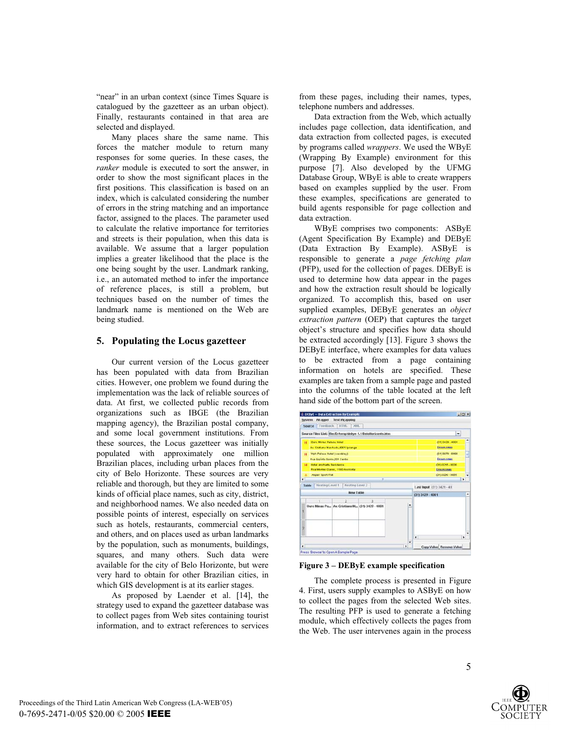"near" in an urban context (since Times Square is catalogued by the gazetteer as an urban object). Finally, restaurants contained in that area are selected and displayed.

Many places share the same name. This forces the matcher module to return many responses for some queries. In these cases, the *ranker* module is executed to sort the answer, in order to show the most significant places in the first positions. This classification is based on an index, which is calculated considering the number of errors in the string matching and an importance factor, assigned to the places. The parameter used to calculate the relative importance for territories and streets is their population, when this data is available. We assume that a larger population implies a greater likelihood that the place is the one being sought by the user. Landmark ranking, i.e., an automated method to infer the importance of reference places, is still a problem, but techniques based on the number of times the landmark name is mentioned on the Web are being studied.

## **5. Populating the Locus gazetteer**

Our current version of the Locus gazetteer has been populated with data from Brazilian cities. However, one problem we found during the implementation was the lack of reliable sources of data. At first, we collected public records from organizations such as IBGE (the Brazilian mapping agency), the Brazilian postal company, and some local government institutions. From these sources, the Locus gazetteer was initially populated with approximately one million Brazilian places, including urban places from the city of Belo Horizonte. These sources are very reliable and thorough, but they are limited to some kinds of official place names, such as city, district, and neighborhood names. We also needed data on possible points of interest, especially on services such as hotels, restaurants, commercial centers, and others, and on places used as urban landmarks by the population, such as monuments, buildings, squares, and many others. Such data were available for the city of Belo Horizonte, but were very hard to obtain for other Brazilian cities, in which GIS development is at its earlier stages.

As proposed by Laender et al. [14], the strategy used to expand the gazetteer database was to collect pages from Web sites containing tourist information, and to extract references to services from these pages, including their names, types, telephone numbers and addresses.

Data extraction from the Web, which actually includes page collection, data identification, and data extraction from collected pages, is executed by programs called *wrappers*. We used the WByE (Wrapping By Example) environment for this purpose [7]. Also developed by the UFMG Database Group, WByE is able to create wrappers based on examples supplied by the user. From these examples, specifications are generated to build agents responsible for page collection and data extraction.

WByE comprises two components: ASByE (Agent Specification By Example) and DEByE (Data Extraction By Example). ASByE is responsible to generate a *page fetching plan* (PFP), used for the collection of pages. DEByE is used to determine how data appear in the pages and how the extraction result should be logically organized. To accomplish this, based on user supplied examples, DEByE generates an *object extraction pattern* (OEP) that captures the target object's structure and specifies how data should be extracted accordingly [13]. Figure 3 shows the DEByE interface, where examples for data values to be extracted from a page containing information on hotels are specified. These examples are taken from a sample page and pasted into the columns of the table located at the left hand side of the bottom part of the screen.



**Figure 3 – DEByE example specification** 

The complete process is presented in Figure 4. First, users supply examples to ASByE on how to collect the pages from the selected Web sites. The resulting PFP is used to generate a fetching module, which effectively collects the pages from the Web. The user intervenes again in the process

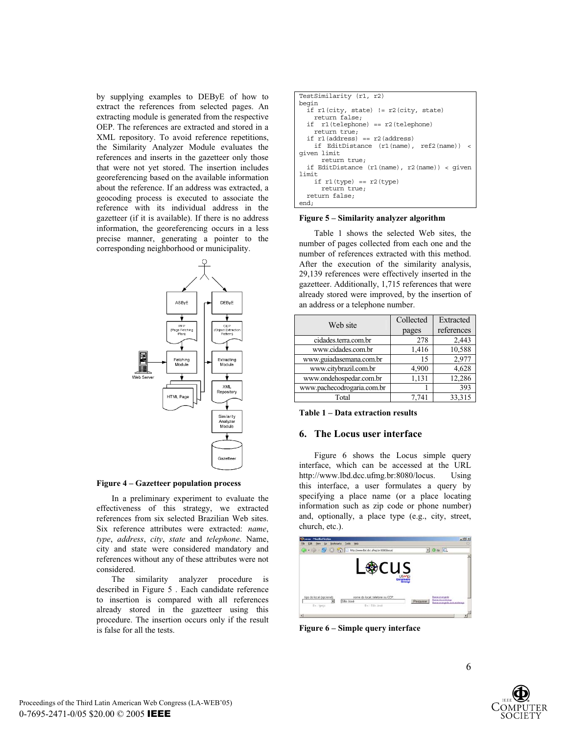by supplying examples to DEByE of how to extract the references from selected pages. An extracting module is generated from the respective OEP. The references are extracted and stored in a XML repository. To avoid reference repetitions, the Similarity Analyzer Module evaluates the references and inserts in the gazetteer only those that were not yet stored. The insertion includes georeferencing based on the available information about the reference. If an address was extracted, a geocoding process is executed to associate the reference with its individual address in the gazetteer (if it is available). If there is no address information, the georeferencing occurs in a less precise manner, generating a pointer to the corresponding neighborhood or municipality.



#### **Figure 4 – Gazetteer population process**

In a preliminary experiment to evaluate the effectiveness of this strategy, we extracted references from six selected Brazilian Web sites. Six reference attributes were extracted: *name*, *type*, *address*, *city*, *state* and *telephone*. Name, city and state were considered mandatory and references without any of these attributes were not considered.

The similarity analyzer procedure is described in Figure 5 . Each candidate reference to insertion is compared with all references already stored in the gazetteer using this procedure. The insertion occurs only if the result is false for all the tests.



#### **Figure 5 – Similarity analyzer algorithm**

Table 1 shows the selected Web sites, the number of pages collected from each one and the number of references extracted with this method. After the execution of the similarity analysis, 29,139 references were effectively inserted in the gazetteer. Additionally, 1,715 references that were already stored were improved, by the insertion of an address or a telephone number.

| Web site                   | Collected | Extracted  |
|----------------------------|-----------|------------|
|                            | pages     | references |
| cidades.terra.com.br       | 278       | 2,443      |
| www.cidades.com.br         | 1,416     | 10,588     |
| www.guiadasemana.com.br    | 15        | 2,977      |
| www.citybrazil.com.br      | 4,900     | 4,628      |
| www.ondehospedar.com.br    | 1,131     | 12,286     |
| www.pachecodrogaria.com.br |           | 393        |
| Total                      | 7.741     | 33,315     |

#### **Table 1 – Data extraction results**

### **6. The Locus user interface**

Figure 6 shows the Locus simple query interface, which can be accessed at the URL http://www.lbd.dcc.ufmg.br:8080/locus. Using this interface, a user formulates a query by specifying a place name (or a place locating information such as zip code or phone number) and, optionally, a place type (e.g., city, street, church, etc.).



**Figure 6 – Simple query interface** 

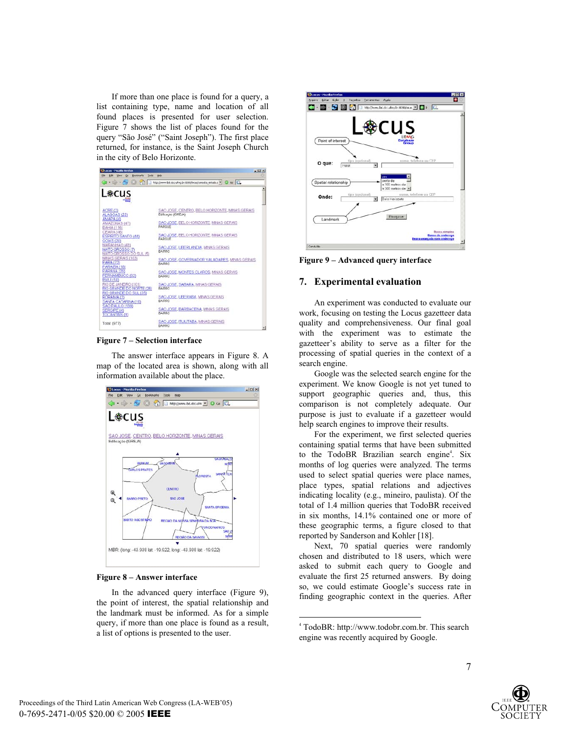If more than one place is found for a query, a list containing type, name and location of all found places is presented for user selection. Figure 7 shows the list of places found for the query "São José" ("Saint Joseph"). The first place returned, for instance, is the Saint Joseph Church in the city of Belo Horizonte.



**Figure 7 – Selection interface** 

The answer interface appears in Figure 8. A map of the located area is shown, along with all information available about the place.



### **Figure 8 – Answer interface**

In the advanced query interface (Figure 9), the point of interest, the spatial relationship and the landmark must be informed. As for a simple query, if more than one place is found as a result, a list of options is presented to the user.



**Figure 9 – Advanced query interface** 

## **7. Experimental evaluation**

An experiment was conducted to evaluate our work, focusing on testing the Locus gazetteer data quality and comprehensiveness. Our final goal with the experiment was to estimate the gazetteer's ability to serve as a filter for the processing of spatial queries in the context of a search engine.

Google was the selected search engine for the experiment. We know Google is not yet tuned to support geographic queries and, thus, this comparison is not completely adequate. Our purpose is just to evaluate if a gazetteer would help search engines to improve their results.

For the experiment, we first selected queries containing spatial terms that have been submitted to the TodoBR Brazilian search engine<sup>4</sup>. Six months of log queries were analyzed. The terms used to select spatial queries were place names, place types, spatial relations and adjectives indicating locality (e.g., mineiro, paulista). Of the total of 1.4 million queries that TodoBR received in six months, 14.1% contained one or more of these geographic terms, a figure closed to that reported by Sanderson and Kohler [18].

Next, 70 spatial queries were randomly chosen and distributed to 18 users, which were asked to submit each query to Google and evaluate the first 25 returned answers. By doing so, we could estimate Google's success rate in finding geographic context in the queries. After

<sup>4</sup> TodoBR: http://www.todobr.com.br. This search engine was recently acquired by Google.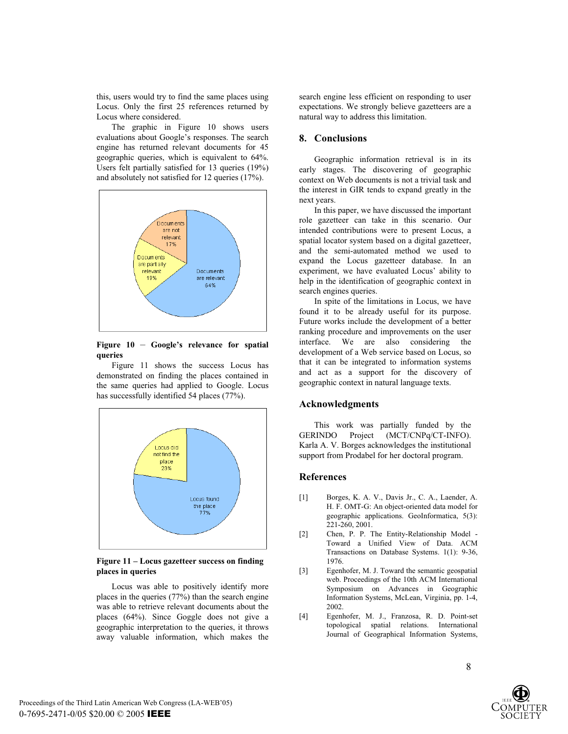this, users would try to find the same places using Locus. Only the first 25 references returned by Locus where considered.

The graphic in Figure 10 shows users evaluations about Google's responses. The search engine has returned relevant documents for 45 geographic queries, which is equivalent to 64%. Users felt partially satisfied for 13 queries (19%) and absolutely not satisfied for 12 queries (17%).



**Figure 10** – **Google's relevance for spatial queries**

Figure 11 shows the success Locus has demonstrated on finding the places contained in the same queries had applied to Google. Locus has successfully identified 54 places (77%).



### **Figure 11 – Locus gazetteer success on finding places in queries**

Locus was able to positively identify more places in the queries (77%) than the search engine was able to retrieve relevant documents about the places (64%). Since Goggle does not give a geographic interpretation to the queries, it throws away valuable information, which makes the search engine less efficient on responding to user expectations. We strongly believe gazetteers are a natural way to address this limitation.

## **8. Conclusions**

Geographic information retrieval is in its early stages. The discovering of geographic context on Web documents is not a trivial task and the interest in GIR tends to expand greatly in the next years.

In this paper, we have discussed the important role gazetteer can take in this scenario. Our intended contributions were to present Locus, a spatial locator system based on a digital gazetteer, and the semi-automated method we used to expand the Locus gazetteer database. In an experiment, we have evaluated Locus' ability to help in the identification of geographic context in search engines queries.

In spite of the limitations in Locus, we have found it to be already useful for its purpose. Future works include the development of a better ranking procedure and improvements on the user interface. We are also considering the development of a Web service based on Locus, so that it can be integrated to information systems and act as a support for the discovery of geographic context in natural language texts.

### **Acknowledgments**

This work was partially funded by the GERINDO Project (MCT/CNPq/CT-INFO). Karla A. V. Borges acknowledges the institutional support from Prodabel for her doctoral program.

## **References**

- [1] Borges, K. A. V., Davis Jr., C. A., Laender, A. H. F. OMT-G: An object-oriented data model for geographic applications. GeoInformatica, 5(3): 221-260, 2001.
- [2] Chen, P. P. The Entity-Relationship Model Toward a Unified View of Data. ACM Transactions on Database Systems. 1(1): 9-36, 1976.
- [3] Egenhofer, M. J. Toward the semantic geospatial web. Proceedings of the 10th ACM International Symposium on Advances in Geographic Information Systems, McLean, Virginia, pp. 1-4, 2002.
- [4] Egenhofer, M. J., Franzosa, R. D. Point-set topological spatial relations. International Journal of Geographical Information Systems,